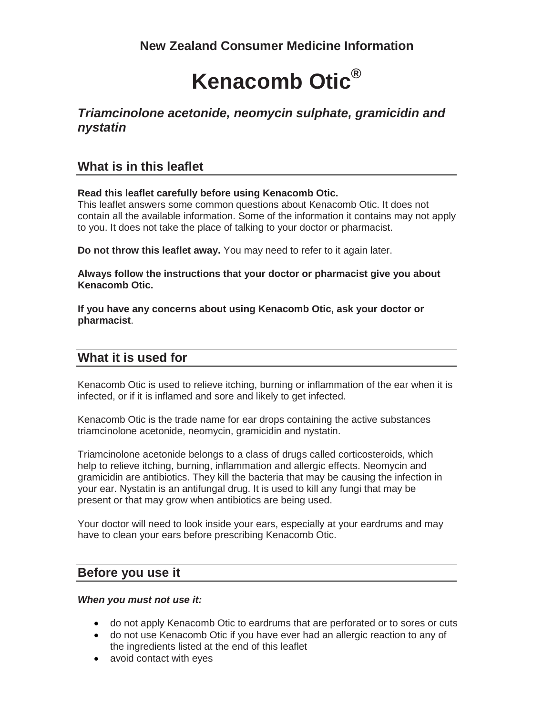# **Kenacomb Otic®**

# *Triamcinolone acetonide, neomycin sulphate, gramicidin and nystatin*

## **What is in this leaflet**

## **Read this leaflet carefully before using Kenacomb Otic.**

This leaflet answers some common questions about Kenacomb Otic. It does not contain all the available information. Some of the information it contains may not apply to you. It does not take the place of talking to your doctor or pharmacist.

**Do not throw this leaflet away.** You may need to refer to it again later.

**Always follow the instructions that your doctor or pharmacist give you about Kenacomb Otic.**

**If you have any concerns about using Kenacomb Otic, ask your doctor or pharmacist**.

# **What it is used for**

Kenacomb Otic is used to relieve itching, burning or inflammation of the ear when it is infected, or if it is inflamed and sore and likely to get infected.

Kenacomb Otic is the trade name for ear drops containing the active substances triamcinolone acetonide, neomycin, gramicidin and nystatin.

Triamcinolone acetonide belongs to a class of drugs called corticosteroids, which help to relieve itching, burning, inflammation and allergic effects. Neomycin and gramicidin are antibiotics. They kill the bacteria that may be causing the infection in your ear. Nystatin is an antifungal drug. It is used to kill any fungi that may be present or that may grow when antibiotics are being used.

Your doctor will need to look inside your ears, especially at your eardrums and may have to clean your ears before prescribing Kenacomb Otic.

## **Before you use it**

## *When you must not use it:*

- do not apply Kenacomb Otic to eardrums that are perforated or to sores or cuts
- do not use Kenacomb Otic if you have ever had an allergic reaction to any of the ingredients listed at the end of this leaflet
- avoid contact with eyes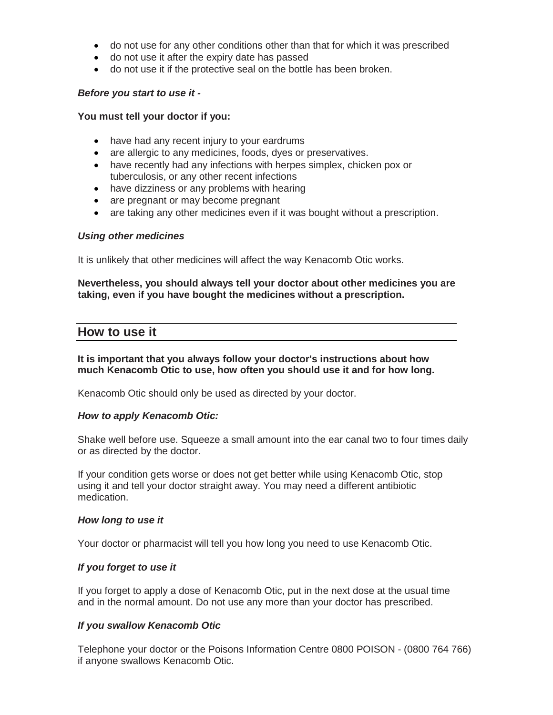- do not use for any other conditions other than that for which it was prescribed
- do not use it after the expiry date has passed
- do not use it if the protective seal on the bottle has been broken.

### *Before you start to use it -*

#### **You must tell your doctor if you:**

- have had any recent injury to your eardrums
- are allergic to any medicines, foods, dyes or preservatives.
- have recently had any infections with herpes simplex, chicken pox or tuberculosis, or any other recent infections
- have dizziness or any problems with hearing
- are pregnant or may become pregnant
- are taking any other medicines even if it was bought without a prescription.

#### *Using other medicines*

It is unlikely that other medicines will affect the way Kenacomb Otic works.

## **Nevertheless, you should always tell your doctor about other medicines you are taking, even if you have bought the medicines without a prescription.**

## **How to use it**

## **It is important that you always follow your doctor's instructions about how much Kenacomb Otic to use, how often you should use it and for how long.**

Kenacomb Otic should only be used as directed by your doctor.

#### *How to apply Kenacomb Otic:*

Shake well before use. Squeeze a small amount into the ear canal two to four times daily or as directed by the doctor.

If your condition gets worse or does not get better while using Kenacomb Otic, stop using it and tell your doctor straight away. You may need a different antibiotic medication.

#### *How long to use it*

Your doctor or pharmacist will tell you how long you need to use Kenacomb Otic.

## *If you forget to use it*

If you forget to apply a dose of Kenacomb Otic, put in the next dose at the usual time and in the normal amount. Do not use any more than your doctor has prescribed.

## *If you swallow Kenacomb Otic*

Telephone your doctor or the Poisons Information Centre 0800 POISON - (0800 764 766) if anyone swallows Kenacomb Otic.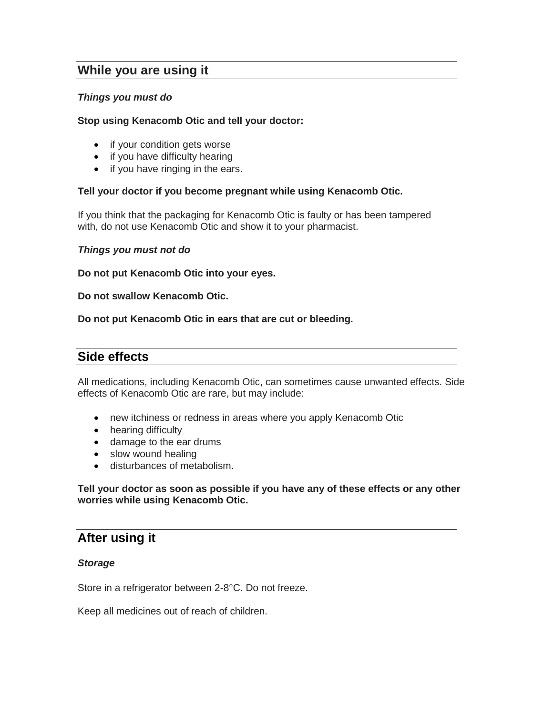## **While you are using it**

## *Things you must do*

## **Stop using Kenacomb Otic and tell your doctor:**

- if your condition gets worse
- if you have difficulty hearing
- if you have ringing in the ears.

## **Tell your doctor if you become pregnant while using Kenacomb Otic.**

If you think that the packaging for Kenacomb Otic is faulty or has been tampered with, do not use Kenacomb Otic and show it to your pharmacist.

#### *Things you must not do*

**Do not put Kenacomb Otic into your eyes.** 

**Do not swallow Kenacomb Otic.**

**Do not put Kenacomb Otic in ears that are cut or bleeding.**

## **Side effects**

All medications, including Kenacomb Otic, can sometimes cause unwanted effects. Side effects of Kenacomb Otic are rare, but may include:

- new itchiness or redness in areas where you apply Kenacomb Otic
- hearing difficulty
- damage to the ear drums
- slow wound healing
- disturbances of metabolism.

**Tell your doctor as soon as possible if you have any of these effects or any other worries while using Kenacomb Otic.**

## **After using it**

#### *Storage*

Store in a refrigerator between 2-8°C. Do not freeze.

Keep all medicines out of reach of children.